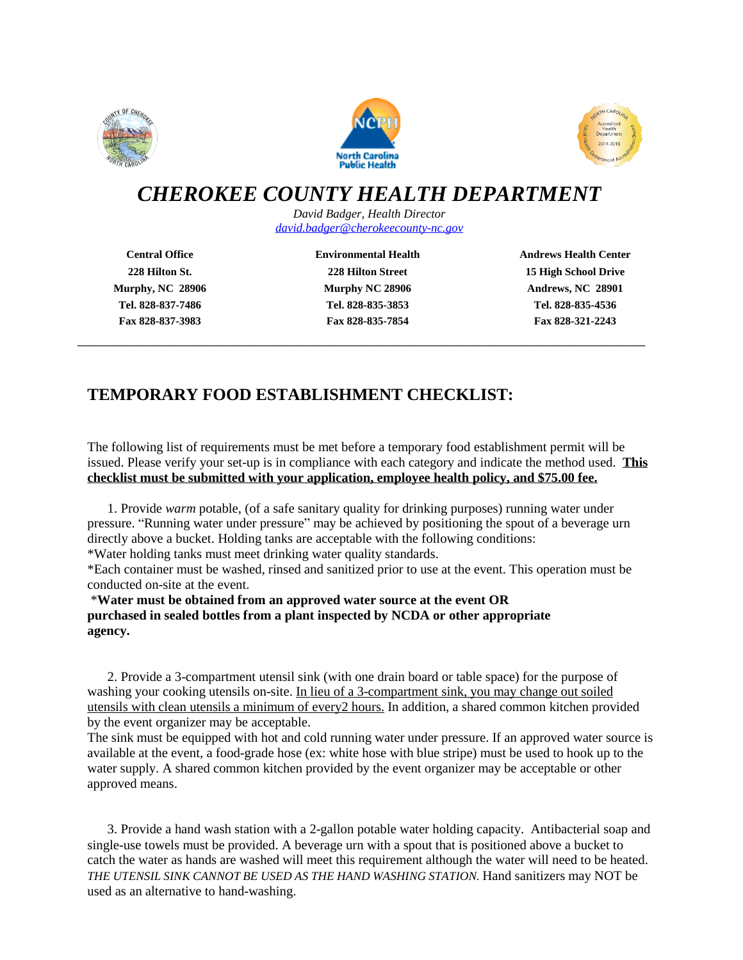





# *CHEROKEE COUNTY HEALTH DEPARTMENT*

*David Badger, Health Director [david.badger@cherokeecounty-nc.gov](mailto:david.badger@cherokeecounty-nc.gov)*

**Tel. 828-837-7486 Tel. 828-835-3853 Tel. 828-835-4536 Fax 828-837-3983 Fax 828-835-7854 Fax 828-321-2243**

\_\_\_\_\_\_\_\_\_\_\_\_\_\_\_\_\_\_\_\_\_\_\_\_\_\_\_\_\_\_\_\_\_\_\_\_\_\_\_\_\_\_\_\_\_\_\_\_\_\_\_\_\_\_\_\_\_\_\_\_\_\_\_\_\_\_\_\_\_\_\_\_\_\_\_\_\_\_

**Central Office Environmental Health Andrews Health Center 228 Hilton St. 228 Hilton Street 15 High School Drive Murphy, NC 28906 Murphy NC 28906 Andrews, NC 28901**

# **TEMPORARY FOOD ESTABLISHMENT CHECKLIST:**

The following list of requirements must be met before a temporary food establishment permit will be issued. Please verify your set-up is in compliance with each category and indicate the method used. **This checklist must be submitted with your application, employee health policy, and \$75.00 fee.**

1. Provide *warm* potable, (of a safe sanitary quality for drinking purposes) running water under pressure. "Running water under pressure" may be achieved by positioning the spout of a beverage urn directly above a bucket. Holding tanks are acceptable with the following conditions: \*Water holding tanks must meet drinking water quality standards.

\*Each container must be washed, rinsed and sanitized prior to use at the event. This operation must be conducted on-site at the event.

\***Water must be obtained from an approved water source at the event OR purchased in sealed bottles from a plant inspected by NCDA or other appropriate agency.**

2. Provide a 3-compartment utensil sink (with one drain board or table space) for the purpose of washing your cooking utensils on-site. In lieu of a 3-compartment sink, you may change out soiled utensils with clean utensils a minimum of every2 hours. In addition, a shared common kitchen provided by the event organizer may be acceptable.

The sink must be equipped with hot and cold running water under pressure. If an approved water source is available at the event, a food-grade hose (ex: white hose with blue stripe) must be used to hook up to the water supply. A shared common kitchen provided by the event organizer may be acceptable or other approved means.

3. Provide a hand wash station with a 2-gallon potable water holding capacity. Antibacterial soap and single-use towels must be provided. A beverage urn with a spout that is positioned above a bucket to catch the water as hands are washed will meet this requirement although the water will need to be heated. *THE UTENSIL SINK CANNOT BE USED AS THE HAND WASHING STATION.* Hand sanitizers may NOT be used as an alternative to hand-washing.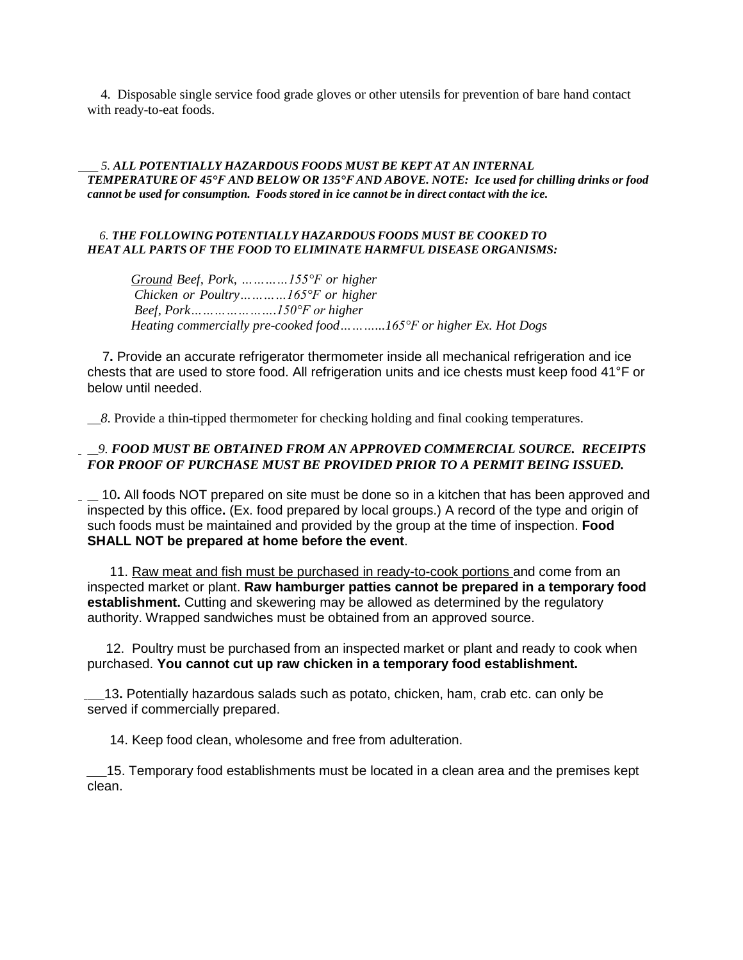4. Disposable single service food grade gloves or other utensils for prevention of bare hand contact with ready-to-eat foods.

#### *5. ALL POTENTIALLY HAZARDOUS FOODS MUST BE KEPT AT AN INTERNAL* TEMPERATURE OF 45°F AND BELOW OR 135°F AND ABOVE. NOTE: Ice used for chilling drinks or food *cannot be used for consumption. Foods stored in ice cannot be in direct contact with the ice.*

#### *6. THE FOLLOWING POTENTIALLY HAZARDOUS FOODS MUST BE COOKED TO HEAT ALL PARTS OF THE FOOD TO ELIMINATE HARMFUL DISEASE ORGANISMS:*

*Ground Beef, Pork, …………155°F or higher Chicken or Poultry…………165°F or higher Beef, Pork………………….150°F or higher Heating commercially pre-cooked food………...165°F or higher Ex. Hot Dogs*

7**.** Provide an accurate refrigerator thermometer inside all mechanical refrigeration and ice chests that are used to store food. All refrigeration units and ice chests must keep food 41°F or below until needed.

 *8*. Provide a thin-tipped thermometer for checking holding and final cooking temperatures.

### *9. FOOD MUST BE OBTAINED FROM AN APPROVED COMMERCIAL SOURCE. RECEIPTS FOR PROOF OF PURCHASE MUST BE PROVIDED PRIOR TO A PERMIT BEING ISSUED.*

 10**.** All foods NOT prepared on site must be done so in a kitchen that has been approved and inspected by this office**.** (Ex. food prepared by local groups.) A record of the type and origin of such foods must be maintained and provided by the group at the time of inspection. **Food SHALL NOT be prepared at home before the event**.

11. Raw meat and fish must be purchased in ready-to-cook portions and come from an inspected market or plant. **Raw hamburger patties cannot be prepared in a temporary food establishment.** Cutting and skewering may be allowed as determined by the regulatory authority. Wrapped sandwiches must be obtained from an approved source.

12. Poultry must be purchased from an inspected market or plant and ready to cook when purchased. **You cannot cut up raw chicken in a temporary food establishment.**

 13**.** Potentially hazardous salads such as potato, chicken, ham, crab etc. can only be served if commercially prepared.

14. Keep food clean, wholesome and free from adulteration.

 15. Temporary food establishments must be located in a clean area and the premises kept clean.